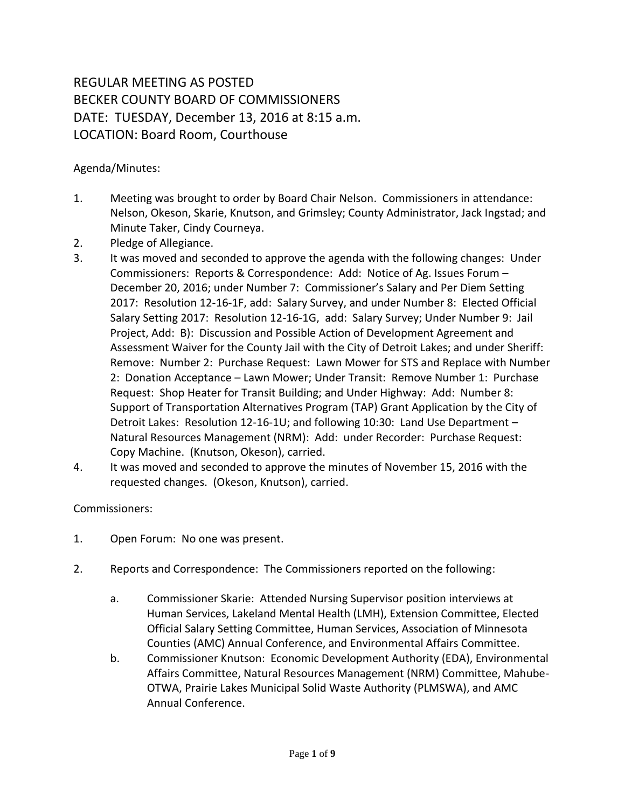## REGULAR MEETING AS POSTED BECKER COUNTY BOARD OF COMMISSIONERS DATE: TUESDAY, December 13, 2016 at 8:15 a.m. LOCATION: Board Room, Courthouse

## Agenda/Minutes:

- 1. Meeting was brought to order by Board Chair Nelson. Commissioners in attendance: Nelson, Okeson, Skarie, Knutson, and Grimsley; County Administrator, Jack Ingstad; and Minute Taker, Cindy Courneya.
- 2. Pledge of Allegiance.
- 3. It was moved and seconded to approve the agenda with the following changes: Under Commissioners: Reports & Correspondence: Add: Notice of Ag. Issues Forum – December 20, 2016; under Number 7: Commissioner's Salary and Per Diem Setting 2017: Resolution 12-16-1F, add: Salary Survey, and under Number 8: Elected Official Salary Setting 2017: Resolution 12-16-1G, add: Salary Survey; Under Number 9: Jail Project, Add: B): Discussion and Possible Action of Development Agreement and Assessment Waiver for the County Jail with the City of Detroit Lakes; and under Sheriff: Remove: Number 2: Purchase Request: Lawn Mower for STS and Replace with Number 2: Donation Acceptance – Lawn Mower; Under Transit: Remove Number 1: Purchase Request: Shop Heater for Transit Building; and Under Highway: Add: Number 8: Support of Transportation Alternatives Program (TAP) Grant Application by the City of Detroit Lakes: Resolution 12-16-1U; and following 10:30: Land Use Department – Natural Resources Management (NRM): Add: under Recorder: Purchase Request: Copy Machine. (Knutson, Okeson), carried.
- 4. It was moved and seconded to approve the minutes of November 15, 2016 with the requested changes. (Okeson, Knutson), carried.

## Commissioners:

- 1. Open Forum: No one was present.
- 2. Reports and Correspondence: The Commissioners reported on the following:
	- a. Commissioner Skarie: Attended Nursing Supervisor position interviews at Human Services, Lakeland Mental Health (LMH), Extension Committee, Elected Official Salary Setting Committee, Human Services, Association of Minnesota Counties (AMC) Annual Conference, and Environmental Affairs Committee.
	- b. Commissioner Knutson: Economic Development Authority (EDA), Environmental Affairs Committee, Natural Resources Management (NRM) Committee, Mahube-OTWA, Prairie Lakes Municipal Solid Waste Authority (PLMSWA), and AMC Annual Conference.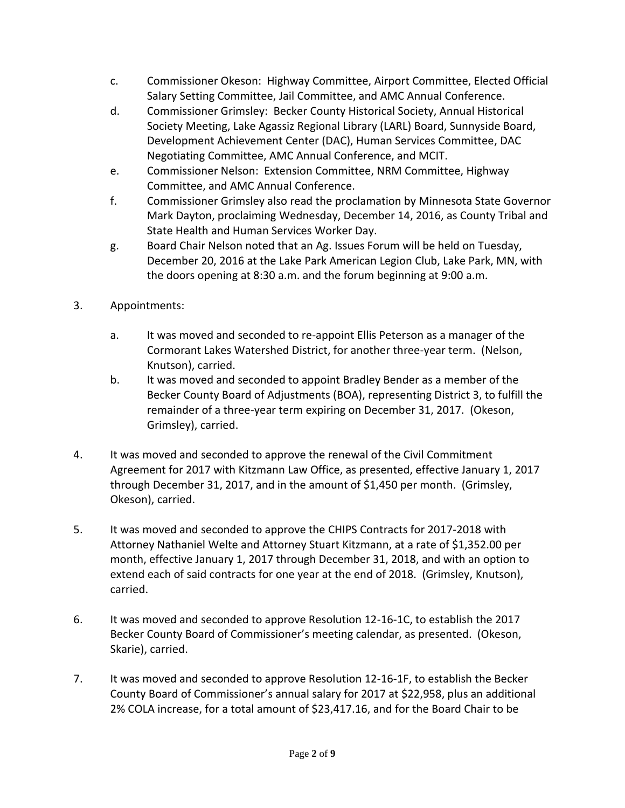- c. Commissioner Okeson: Highway Committee, Airport Committee, Elected Official Salary Setting Committee, Jail Committee, and AMC Annual Conference.
- d. Commissioner Grimsley: Becker County Historical Society, Annual Historical Society Meeting, Lake Agassiz Regional Library (LARL) Board, Sunnyside Board, Development Achievement Center (DAC), Human Services Committee, DAC Negotiating Committee, AMC Annual Conference, and MCIT.
- e. Commissioner Nelson: Extension Committee, NRM Committee, Highway Committee, and AMC Annual Conference.
- f. Commissioner Grimsley also read the proclamation by Minnesota State Governor Mark Dayton, proclaiming Wednesday, December 14, 2016, as County Tribal and State Health and Human Services Worker Day.
- g. Board Chair Nelson noted that an Ag. Issues Forum will be held on Tuesday, December 20, 2016 at the Lake Park American Legion Club, Lake Park, MN, with the doors opening at 8:30 a.m. and the forum beginning at 9:00 a.m.
- 3. Appointments:
	- a. It was moved and seconded to re-appoint Ellis Peterson as a manager of the Cormorant Lakes Watershed District, for another three-year term. (Nelson, Knutson), carried.
	- b. It was moved and seconded to appoint Bradley Bender as a member of the Becker County Board of Adjustments (BOA), representing District 3, to fulfill the remainder of a three-year term expiring on December 31, 2017. (Okeson, Grimsley), carried.
- 4. It was moved and seconded to approve the renewal of the Civil Commitment Agreement for 2017 with Kitzmann Law Office, as presented, effective January 1, 2017 through December 31, 2017, and in the amount of \$1,450 per month. (Grimsley, Okeson), carried.
- 5. It was moved and seconded to approve the CHIPS Contracts for 2017-2018 with Attorney Nathaniel Welte and Attorney Stuart Kitzmann, at a rate of \$1,352.00 per month, effective January 1, 2017 through December 31, 2018, and with an option to extend each of said contracts for one year at the end of 2018. (Grimsley, Knutson), carried.
- 6. It was moved and seconded to approve Resolution 12-16-1C, to establish the 2017 Becker County Board of Commissioner's meeting calendar, as presented. (Okeson, Skarie), carried.
- 7. It was moved and seconded to approve Resolution 12-16-1F, to establish the Becker County Board of Commissioner's annual salary for 2017 at \$22,958, plus an additional 2% COLA increase, for a total amount of \$23,417.16, and for the Board Chair to be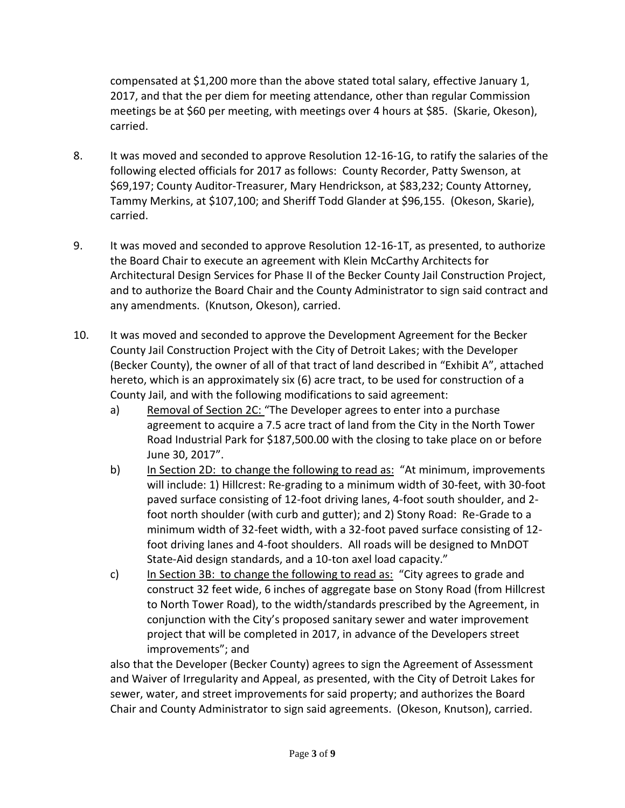compensated at \$1,200 more than the above stated total salary, effective January 1, 2017, and that the per diem for meeting attendance, other than regular Commission meetings be at \$60 per meeting, with meetings over 4 hours at \$85. (Skarie, Okeson), carried.

- 8. It was moved and seconded to approve Resolution 12-16-1G, to ratify the salaries of the following elected officials for 2017 as follows: County Recorder, Patty Swenson, at \$69,197; County Auditor-Treasurer, Mary Hendrickson, at \$83,232; County Attorney, Tammy Merkins, at \$107,100; and Sheriff Todd Glander at \$96,155. (Okeson, Skarie), carried.
- 9. It was moved and seconded to approve Resolution 12-16-1T, as presented, to authorize the Board Chair to execute an agreement with Klein McCarthy Architects for Architectural Design Services for Phase II of the Becker County Jail Construction Project, and to authorize the Board Chair and the County Administrator to sign said contract and any amendments. (Knutson, Okeson), carried.
- 10. It was moved and seconded to approve the Development Agreement for the Becker County Jail Construction Project with the City of Detroit Lakes; with the Developer (Becker County), the owner of all of that tract of land described in "Exhibit A", attached hereto, which is an approximately six (6) acre tract, to be used for construction of a County Jail, and with the following modifications to said agreement:
	- a) Removal of Section 2C: "The Developer agrees to enter into a purchase agreement to acquire a 7.5 acre tract of land from the City in the North Tower Road Industrial Park for \$187,500.00 with the closing to take place on or before June 30, 2017".
	- b) In Section 2D: to change the following to read as: "At minimum, improvements will include: 1) Hillcrest: Re-grading to a minimum width of 30-feet, with 30-foot paved surface consisting of 12-foot driving lanes, 4-foot south shoulder, and 2 foot north shoulder (with curb and gutter); and 2) Stony Road: Re-Grade to a minimum width of 32-feet width, with a 32-foot paved surface consisting of 12 foot driving lanes and 4-foot shoulders. All roads will be designed to MnDOT State-Aid design standards, and a 10-ton axel load capacity."
	- c) In Section 3B: to change the following to read as: "City agrees to grade and construct 32 feet wide, 6 inches of aggregate base on Stony Road (from Hillcrest to North Tower Road), to the width/standards prescribed by the Agreement, in conjunction with the City's proposed sanitary sewer and water improvement project that will be completed in 2017, in advance of the Developers street improvements"; and

also that the Developer (Becker County) agrees to sign the Agreement of Assessment and Waiver of Irregularity and Appeal, as presented, with the City of Detroit Lakes for sewer, water, and street improvements for said property; and authorizes the Board Chair and County Administrator to sign said agreements. (Okeson, Knutson), carried.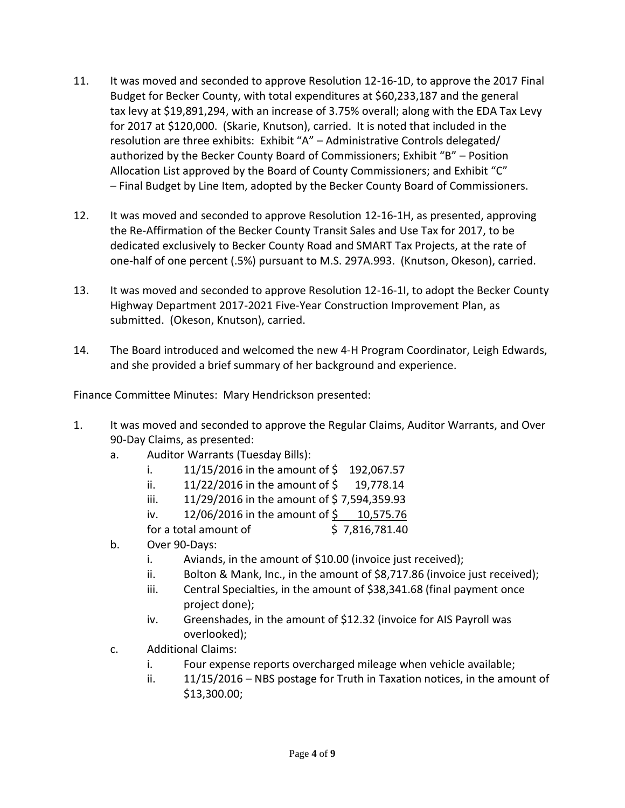- 11. It was moved and seconded to approve Resolution 12-16-1D, to approve the 2017 Final Budget for Becker County, with total expenditures at \$60,233,187 and the general tax levy at \$19,891,294, with an increase of 3.75% overall; along with the EDA Tax Levy for 2017 at \$120,000. (Skarie, Knutson), carried. It is noted that included in the resolution are three exhibits: Exhibit "A" – Administrative Controls delegated/ authorized by the Becker County Board of Commissioners; Exhibit "B" – Position Allocation List approved by the Board of County Commissioners; and Exhibit "C" – Final Budget by Line Item, adopted by the Becker County Board of Commissioners.
- 12. It was moved and seconded to approve Resolution 12-16-1H, as presented, approving the Re-Affirmation of the Becker County Transit Sales and Use Tax for 2017, to be dedicated exclusively to Becker County Road and SMART Tax Projects, at the rate of one-half of one percent (.5%) pursuant to M.S. 297A.993. (Knutson, Okeson), carried.
- 13. It was moved and seconded to approve Resolution 12-16-1I, to adopt the Becker County Highway Department 2017-2021 Five-Year Construction Improvement Plan, as submitted. (Okeson, Knutson), carried.
- 14. The Board introduced and welcomed the new 4-H Program Coordinator, Leigh Edwards, and she provided a brief summary of her background and experience.

Finance Committee Minutes: Mary Hendrickson presented:

- 1. It was moved and seconded to approve the Regular Claims, Auditor Warrants, and Over 90-Day Claims, as presented:
	- a. Auditor Warrants (Tuesday Bills):
		- i. 11/15/2016 in the amount of  $\frac{1}{2}$  192,067.57
		- ii.  $11/22/2016$  in the amount of  $\frac{2}{3}$  19,778.14
		- iii.  $11/29/2016$  in the amount of \$7,594,359.93
		- iv. 12/06/2016 in the amount of \$ 10,575.76

for a total amount of  $\qquad \qquad$  \$ 7,816,781.40

- b. Over 90-Days:
	- i. Aviands, in the amount of \$10.00 (invoice just received);
	- ii. Bolton & Mank, Inc., in the amount of \$8,717.86 (invoice just received);
	- iii. Central Specialties, in the amount of \$38,341.68 (final payment once project done);
	- iv. Greenshades, in the amount of \$12.32 (invoice for AIS Payroll was overlooked);
- c. Additional Claims:
	- i. Four expense reports overcharged mileage when vehicle available;
	- ii. 11/15/2016 NBS postage for Truth in Taxation notices, in the amount of \$13,300.00;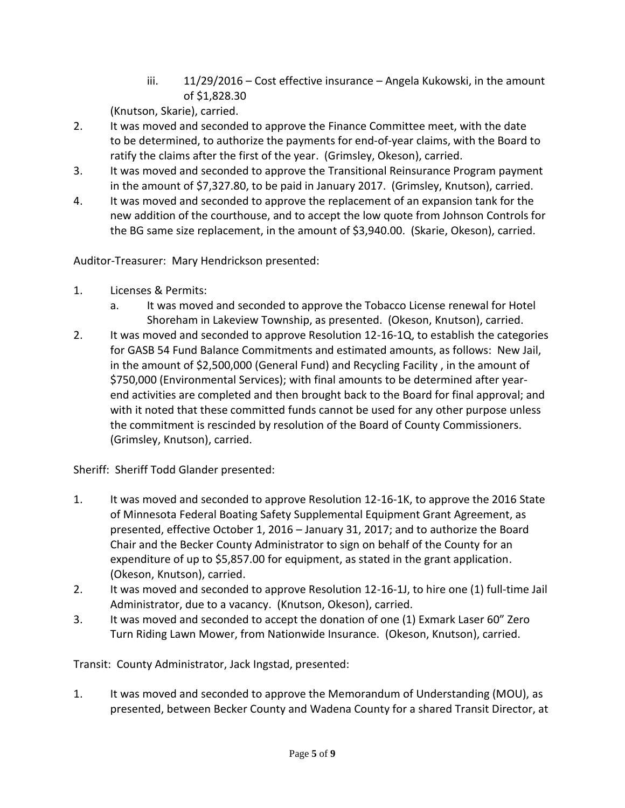iii. 11/29/2016 – Cost effective insurance – Angela Kukowski, in the amount of \$1,828.30

(Knutson, Skarie), carried.

- 2. It was moved and seconded to approve the Finance Committee meet, with the date to be determined, to authorize the payments for end-of-year claims, with the Board to ratify the claims after the first of the year. (Grimsley, Okeson), carried.
- 3. It was moved and seconded to approve the Transitional Reinsurance Program payment in the amount of \$7,327.80, to be paid in January 2017. (Grimsley, Knutson), carried.
- 4. It was moved and seconded to approve the replacement of an expansion tank for the new addition of the courthouse, and to accept the low quote from Johnson Controls for the BG same size replacement, in the amount of \$3,940.00. (Skarie, Okeson), carried.

Auditor-Treasurer: Mary Hendrickson presented:

- 1. Licenses & Permits:
	- a. It was moved and seconded to approve the Tobacco License renewal for Hotel Shoreham in Lakeview Township, as presented. (Okeson, Knutson), carried.
- 2. It was moved and seconded to approve Resolution 12-16-1Q, to establish the categories for GASB 54 Fund Balance Commitments and estimated amounts, as follows: New Jail, in the amount of \$2,500,000 (General Fund) and Recycling Facility , in the amount of \$750,000 (Environmental Services); with final amounts to be determined after yearend activities are completed and then brought back to the Board for final approval; and with it noted that these committed funds cannot be used for any other purpose unless the commitment is rescinded by resolution of the Board of County Commissioners. (Grimsley, Knutson), carried.

Sheriff: Sheriff Todd Glander presented:

- 1. It was moved and seconded to approve Resolution 12-16-1K, to approve the 2016 State of Minnesota Federal Boating Safety Supplemental Equipment Grant Agreement, as presented, effective October 1, 2016 – January 31, 2017; and to authorize the Board Chair and the Becker County Administrator to sign on behalf of the County for an expenditure of up to \$5,857.00 for equipment, as stated in the grant application. (Okeson, Knutson), carried.
- 2. It was moved and seconded to approve Resolution 12-16-1J, to hire one (1) full-time Jail Administrator, due to a vacancy. (Knutson, Okeson), carried.
- 3. It was moved and seconded to accept the donation of one (1) Exmark Laser 60" Zero Turn Riding Lawn Mower, from Nationwide Insurance. (Okeson, Knutson), carried.

Transit: County Administrator, Jack Ingstad, presented:

1. It was moved and seconded to approve the Memorandum of Understanding (MOU), as presented, between Becker County and Wadena County for a shared Transit Director, at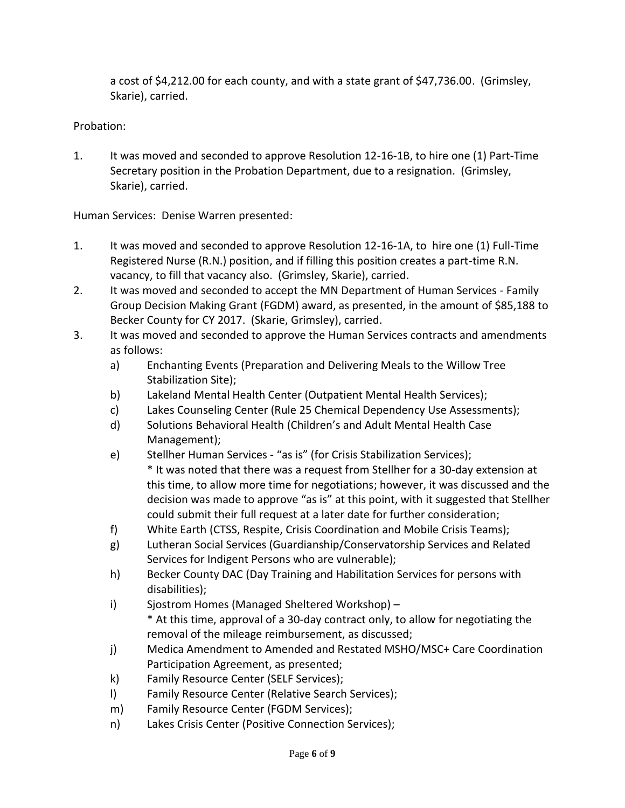a cost of \$4,212.00 for each county, and with a state grant of \$47,736.00. (Grimsley, Skarie), carried.

## Probation:

1. It was moved and seconded to approve Resolution 12-16-1B, to hire one (1) Part-Time Secretary position in the Probation Department, due to a resignation. (Grimsley, Skarie), carried.

Human Services: Denise Warren presented:

- 1. It was moved and seconded to approve Resolution 12-16-1A, to hire one (1) Full-Time Registered Nurse (R.N.) position, and if filling this position creates a part-time R.N. vacancy, to fill that vacancy also. (Grimsley, Skarie), carried.
- 2. It was moved and seconded to accept the MN Department of Human Services Family Group Decision Making Grant (FGDM) award, as presented, in the amount of \$85,188 to Becker County for CY 2017. (Skarie, Grimsley), carried.
- 3. It was moved and seconded to approve the Human Services contracts and amendments as follows:
	- a) Enchanting Events (Preparation and Delivering Meals to the Willow Tree Stabilization Site);
	- b) Lakeland Mental Health Center (Outpatient Mental Health Services);
	- c) Lakes Counseling Center (Rule 25 Chemical Dependency Use Assessments);
	- d) Solutions Behavioral Health (Children's and Adult Mental Health Case Management);
	- e) Stellher Human Services "as is" (for Crisis Stabilization Services); \* It was noted that there was a request from Stellher for a 30-day extension at this time, to allow more time for negotiations; however, it was discussed and the decision was made to approve "as is" at this point, with it suggested that Stellher could submit their full request at a later date for further consideration;
	- f) White Earth (CTSS, Respite, Crisis Coordination and Mobile Crisis Teams);
	- g) Lutheran Social Services (Guardianship/Conservatorship Services and Related Services for Indigent Persons who are vulnerable);
	- h) Becker County DAC (Day Training and Habilitation Services for persons with disabilities);
	- i) Sjostrom Homes (Managed Sheltered Workshop) \* At this time, approval of a 30-day contract only, to allow for negotiating the removal of the mileage reimbursement, as discussed;
	- j) Medica Amendment to Amended and Restated MSHO/MSC+ Care Coordination Participation Agreement, as presented;
	- k) Family Resource Center (SELF Services);
	- l) Family Resource Center (Relative Search Services);
	- m) Family Resource Center (FGDM Services);
	- n) Lakes Crisis Center (Positive Connection Services);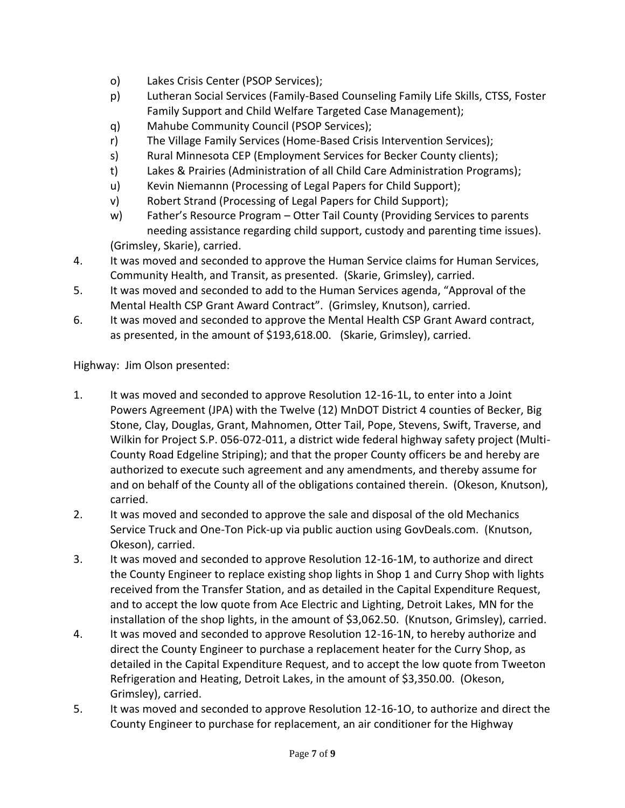- o) Lakes Crisis Center (PSOP Services);
- p) Lutheran Social Services (Family-Based Counseling Family Life Skills, CTSS, Foster Family Support and Child Welfare Targeted Case Management);
- q) Mahube Community Council (PSOP Services);
- r) The Village Family Services (Home-Based Crisis Intervention Services);
- s) Rural Minnesota CEP (Employment Services for Becker County clients);
- t) Lakes & Prairies (Administration of all Child Care Administration Programs);
- u) Kevin Niemannn (Processing of Legal Papers for Child Support);
- v) Robert Strand (Processing of Legal Papers for Child Support);
- w) Father's Resource Program Otter Tail County (Providing Services to parents needing assistance regarding child support, custody and parenting time issues). (Grimsley, Skarie), carried.
- 4. It was moved and seconded to approve the Human Service claims for Human Services, Community Health, and Transit, as presented. (Skarie, Grimsley), carried.
- 5. It was moved and seconded to add to the Human Services agenda, "Approval of the Mental Health CSP Grant Award Contract". (Grimsley, Knutson), carried.
- 6. It was moved and seconded to approve the Mental Health CSP Grant Award contract, as presented, in the amount of \$193,618.00. (Skarie, Grimsley), carried.

Highway: Jim Olson presented:

- 1. It was moved and seconded to approve Resolution 12-16-1L, to enter into a Joint Powers Agreement (JPA) with the Twelve (12) MnDOT District 4 counties of Becker, Big Stone, Clay, Douglas, Grant, Mahnomen, Otter Tail, Pope, Stevens, Swift, Traverse, and Wilkin for Project S.P. 056-072-011, a district wide federal highway safety project (Multi-County Road Edgeline Striping); and that the proper County officers be and hereby are authorized to execute such agreement and any amendments, and thereby assume for and on behalf of the County all of the obligations contained therein. (Okeson, Knutson), carried.
- 2. It was moved and seconded to approve the sale and disposal of the old Mechanics Service Truck and One-Ton Pick-up via public auction using GovDeals.com. (Knutson, Okeson), carried.
- 3. It was moved and seconded to approve Resolution 12-16-1M, to authorize and direct the County Engineer to replace existing shop lights in Shop 1 and Curry Shop with lights received from the Transfer Station, and as detailed in the Capital Expenditure Request, and to accept the low quote from Ace Electric and Lighting, Detroit Lakes, MN for the installation of the shop lights, in the amount of \$3,062.50. (Knutson, Grimsley), carried.
- 4. It was moved and seconded to approve Resolution 12-16-1N, to hereby authorize and direct the County Engineer to purchase a replacement heater for the Curry Shop, as detailed in the Capital Expenditure Request, and to accept the low quote from Tweeton Refrigeration and Heating, Detroit Lakes, in the amount of \$3,350.00. (Okeson, Grimsley), carried.
- 5. It was moved and seconded to approve Resolution 12-16-1O, to authorize and direct the County Engineer to purchase for replacement, an air conditioner for the Highway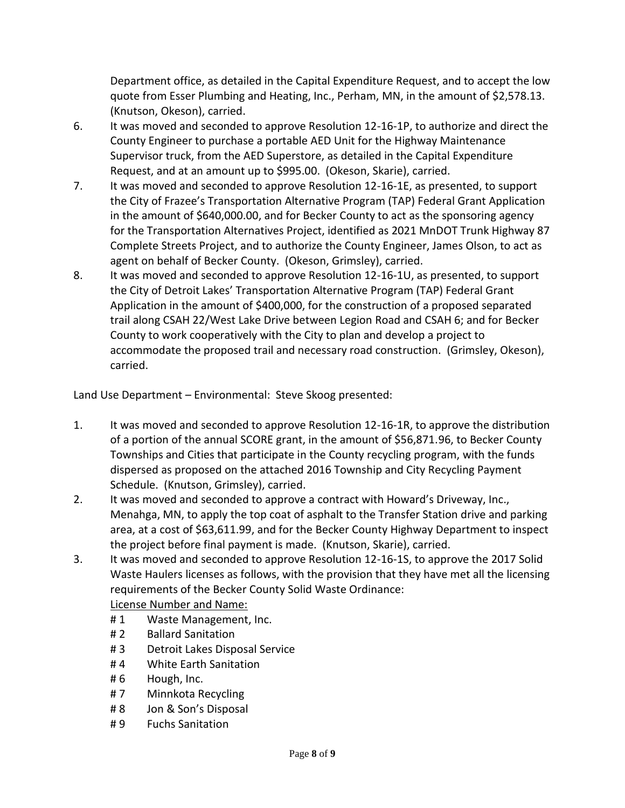Department office, as detailed in the Capital Expenditure Request, and to accept the low quote from Esser Plumbing and Heating, Inc., Perham, MN, in the amount of \$2,578.13. (Knutson, Okeson), carried.

- 6. It was moved and seconded to approve Resolution 12-16-1P, to authorize and direct the County Engineer to purchase a portable AED Unit for the Highway Maintenance Supervisor truck, from the AED Superstore, as detailed in the Capital Expenditure Request, and at an amount up to \$995.00. (Okeson, Skarie), carried.
- 7. It was moved and seconded to approve Resolution 12-16-1E, as presented, to support the City of Frazee's Transportation Alternative Program (TAP) Federal Grant Application in the amount of \$640,000.00, and for Becker County to act as the sponsoring agency for the Transportation Alternatives Project, identified as 2021 MnDOT Trunk Highway 87 Complete Streets Project, and to authorize the County Engineer, James Olson, to act as agent on behalf of Becker County. (Okeson, Grimsley), carried.
- 8. It was moved and seconded to approve Resolution 12-16-1U, as presented, to support the City of Detroit Lakes' Transportation Alternative Program (TAP) Federal Grant Application in the amount of \$400,000, for the construction of a proposed separated trail along CSAH 22/West Lake Drive between Legion Road and CSAH 6; and for Becker County to work cooperatively with the City to plan and develop a project to accommodate the proposed trail and necessary road construction. (Grimsley, Okeson), carried.

Land Use Department – Environmental: Steve Skoog presented:

- 1. It was moved and seconded to approve Resolution 12-16-1R, to approve the distribution of a portion of the annual SCORE grant, in the amount of \$56,871.96, to Becker County Townships and Cities that participate in the County recycling program, with the funds dispersed as proposed on the attached 2016 Township and City Recycling Payment Schedule. (Knutson, Grimsley), carried.
- 2. It was moved and seconded to approve a contract with Howard's Driveway, Inc., Menahga, MN, to apply the top coat of asphalt to the Transfer Station drive and parking area, at a cost of \$63,611.99, and for the Becker County Highway Department to inspect the project before final payment is made. (Knutson, Skarie), carried.
- 3. It was moved and seconded to approve Resolution 12-16-1S, to approve the 2017 Solid Waste Haulers licenses as follows, with the provision that they have met all the licensing requirements of the Becker County Solid Waste Ordinance:

License Number and Name:

- #1 Waste Management, Inc.
- # 2 Ballard Sanitation
- # 3 Detroit Lakes Disposal Service
- #4 White Earth Sanitation
- # 6 Hough, Inc.
- # 7 Minnkota Recycling
- # 8 Jon & Son's Disposal
- # 9 Fuchs Sanitation